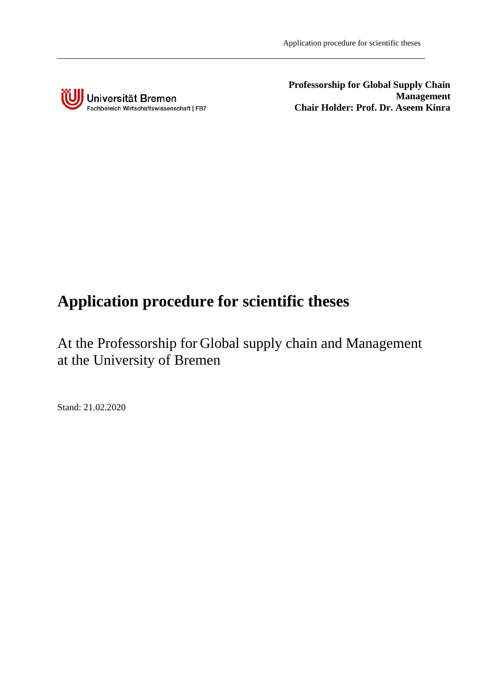

**Professorship for Global Supply Chain Management Chair Holder: Prof. Dr. Aseem Kinra**

## **Application procedure for scientific theses**

At the Professorship for Global supply chain and Management at the University of Bremen

Stand: 21.02.2020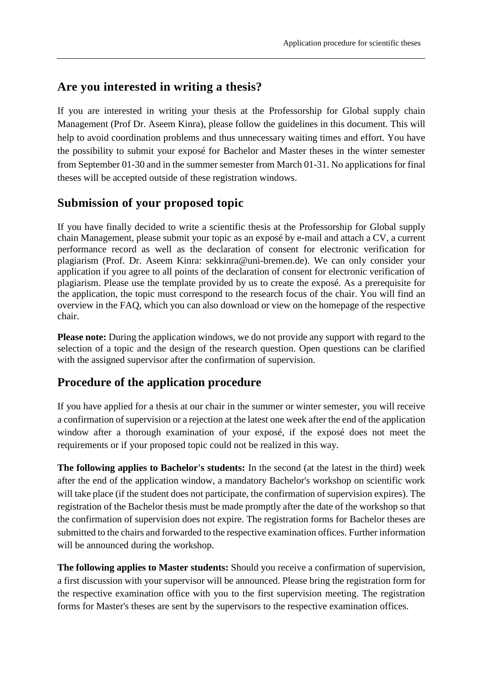## **Are you interested in writing a thesis?**

If you are interested in writing your thesis at the Professorship for Global supply chain Management (Prof Dr. Aseem Kinra), please follow the guidelines in this document. This will help to avoid coordination problems and thus unnecessary waiting times and effort. You have the possibility to submit your exposé for Bachelor and Master theses in the winter semester from September 01-30 and in the summer semester from March 01-31. No applications for final theses will be accepted outside of these registration windows.

## **Submission of your proposed topic**

If you have finally decided to write a scientific thesis at the Professorship for Global supply chain Management, please submit your topic as an exposé by e-mail and attach a CV, a current performance record as well as the declaration of consent for electronic verification for plagiarism (Prof. Dr. Aseem Kinra: sekkinra@uni-bremen.de). We can only consider your application if you agree to all points of the declaration of consent for electronic verification of plagiarism. Please use the template provided by us to create the exposé. As a prerequisite for the application, the topic must correspond to the research focus of the chair. You will find an overview in the FAQ, which you can also download or view on the homepage of the respective chair.

**Please note:** During the application windows, we do not provide any support with regard to the selection of a topic and the design of the research question. Open questions can be clarified with the assigned supervisor after the confirmation of supervision.

## **Procedure of the application procedure**

If you have applied for a thesis at our chair in the summer or winter semester, you will receive a confirmation of supervision or a rejection at the latest one week after the end of the application window after a thorough examination of your exposé, if the exposé does not meet the requirements or if your proposed topic could not be realized in this way.

**The following applies to Bachelor's students:** In the second (at the latest in the third) week after the end of the application window, a mandatory Bachelor's workshop on scientific work will take place (if the student does not participate, the confirmation of supervision expires). The registration of the Bachelor thesis must be made promptly after the date of the workshop so that the confirmation of supervision does not expire. The registration forms for Bachelor theses are submitted to the chairs and forwarded to the respective examination offices. Further information will be announced during the workshop.

**The following applies to Master students:** Should you receive a confirmation of supervision, a first discussion with your supervisor will be announced. Please bring the registration form for the respective examination office with you to the first supervision meeting. The registration forms for Master's theses are sent by the supervisors to the respective examination offices.